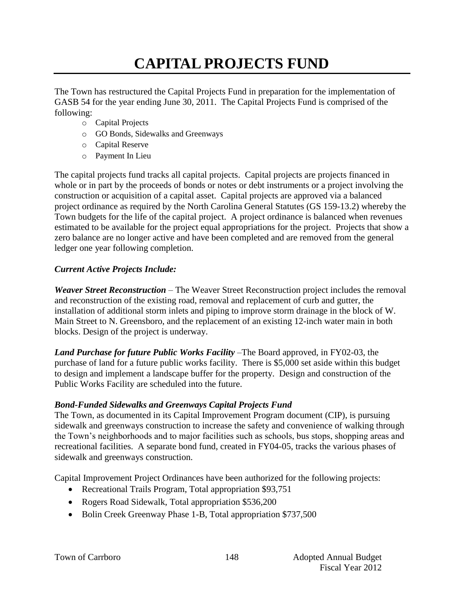# **CAPITAL PROJECTS FUND**

The Town has restructured the Capital Projects Fund in preparation for the implementation of GASB 54 for the year ending June 30, 2011. The Capital Projects Fund is comprised of the following:

- o Capital Projects
- o GO Bonds, Sidewalks and Greenways
- o Capital Reserve
- o Payment In Lieu

The capital projects fund tracks all capital projects. Capital projects are projects financed in whole or in part by the proceeds of bonds or notes or debt instruments or a project involving the construction or acquisition of a capital asset. Capital projects are approved via a balanced project ordinance as required by the North Carolina General Statutes (GS 159-13.2) whereby the Town budgets for the life of the capital project. A project ordinance is balanced when revenues estimated to be available for the project equal appropriations for the project. Projects that show a zero balance are no longer active and have been completed and are removed from the general ledger one year following completion.

## *Current Active Projects Include:*

*Weaver Street Reconstruction* – The Weaver Street Reconstruction project includes the removal and reconstruction of the existing road, removal and replacement of curb and gutter, the installation of additional storm inlets and piping to improve storm drainage in the block of W. Main Street to N. Greensboro, and the replacement of an existing 12-inch water main in both blocks. Design of the project is underway.

*Land Purchase for future Public Works Facility* –The Board approved, in FY02-03, the purchase of land for a future public works facility. There is \$5,000 set aside within this budget to design and implement a landscape buffer for the property. Design and construction of the Public Works Facility are scheduled into the future.

## *Bond-Funded Sidewalks and Greenways Capital Projects Fund*

The Town, as documented in its Capital Improvement Program document (CIP), is pursuing sidewalk and greenways construction to increase the safety and convenience of walking through the Town's neighborhoods and to major facilities such as schools, bus stops, shopping areas and recreational facilities. A separate bond fund, created in FY04-05, tracks the various phases of sidewalk and greenways construction.

Capital Improvement Project Ordinances have been authorized for the following projects:

- Recreational Trails Program, Total appropriation \$93,751
- Rogers Road Sidewalk, Total appropriation \$536,200
- Bolin Creek Greenway Phase 1-B, Total appropriation \$737,500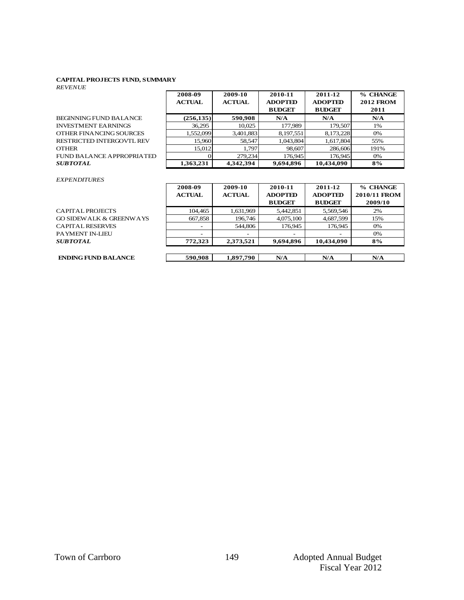#### **CAPITAL PROJECTS FUND, SUMMARY**

| <b>CAPITAL PROJECTS FUND, SUMMARY</b><br><b>REVENUE</b> |                          |                          |                                            |                                            |                                      |  |  |
|---------------------------------------------------------|--------------------------|--------------------------|--------------------------------------------|--------------------------------------------|--------------------------------------|--|--|
|                                                         | 2008-09<br><b>ACTUAL</b> | 2009-10<br><b>ACTUAL</b> | 2010-11<br><b>ADOPTED</b><br><b>BUDGET</b> | 2011-12<br><b>ADOPTED</b><br><b>BUDGET</b> | % CHANGE<br><b>2012 FROM</b><br>2011 |  |  |
| <b>BEGINNING FUND BALANCE</b>                           | (256, 135)               | 590,908                  | N/A                                        | N/A                                        | N/A                                  |  |  |
| <b>INVESTMENT EARNINGS</b>                              | 36,295                   | 10,025                   | 177,989                                    | 179,507                                    | 1%                                   |  |  |
| OTHER FINANCING SOURCES                                 | 1.552.099                | 3.401.883                | 8,197,551                                  | 8.173.228                                  | 0%                                   |  |  |
| <b>RESTRICTED INTERGOVTL REV</b>                        | 15,960                   | 58,547                   | 1,043,804                                  | 1.617.804                                  | 55%                                  |  |  |
| <b>OTHER</b>                                            | 15.012                   | 1.797                    | 98,607                                     | 286,606                                    | 191%                                 |  |  |
| <b>FUND BALANCE APPROPRIATED</b>                        |                          | 279,234                  | 176,945                                    | 176.945                                    | 0%                                   |  |  |
| <i><b>SUBTOTAL</b></i>                                  | 1,363,231                | 4,342,394                | 9,694,896                                  | 10,434,090                                 | 8%                                   |  |  |

#### *EXPENDITURES*

|                            | 2008-09<br><b>ACTUAL</b> | 2009-10<br><b>ACTUAL</b> | 2010-11<br><b>ADOPTED</b> | 2011-12<br><b>ADOPTED</b> | % CHANGE<br>2010/11 FROM |
|----------------------------|--------------------------|--------------------------|---------------------------|---------------------------|--------------------------|
|                            |                          |                          | <b>BUDGET</b>             | <b>BUDGET</b>             | 2009/10                  |
| CAPITAL PROJECTS           | 104.465                  | 1.631.969                | 5,442,851                 | 5.569.546                 | 2%                       |
| GO SIDEWALK & GREENWAYS    | 667,858                  | 196.746                  | 4,075,100                 | 4.687.599                 | 15%                      |
| CAPITAL RESERVES           | $\overline{\phantom{a}}$ | 544,806                  | 176,945                   | 176,945                   | 0%                       |
| PAYMENT IN-LIEU            |                          |                          |                           |                           | 0%                       |
| SUBTOTAL                   | 772.323                  | 2,373,521                | 9,694,896                 | 10.434.090                | 8%                       |
|                            |                          |                          |                           |                           |                          |
| <b>ENDING FUND BALANCE</b> | 590.908                  | 1.897.790                | N/A                       | N/A                       | N/A                      |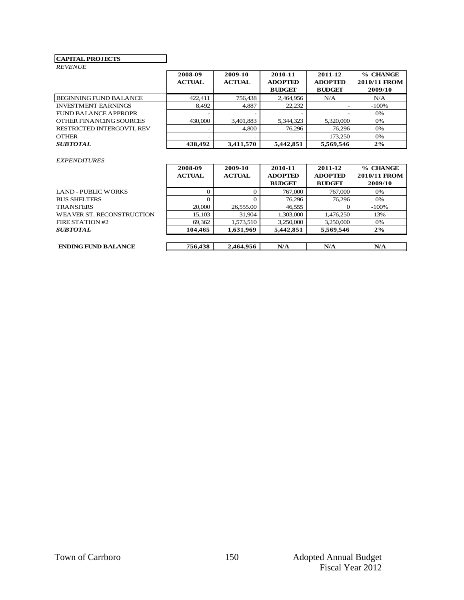### **CAPITAL PROJECTS**

## *REVENUE*

| <b>CAPITAL PROJECTS</b>          |                          |                          |                                            |                                            |                                     |
|----------------------------------|--------------------------|--------------------------|--------------------------------------------|--------------------------------------------|-------------------------------------|
| <b>REVENUE</b>                   |                          |                          |                                            |                                            |                                     |
|                                  | 2008-09<br><b>ACTUAL</b> | 2009-10<br><b>ACTUAL</b> | 2010-11<br><b>ADOPTED</b><br><b>BUDGET</b> | 2011-12<br><b>ADOPTED</b><br><b>BUDGET</b> | % CHANGE<br>2010/11 FROM<br>2009/10 |
| <b>BEGINNING FUND BALANCE</b>    | 422.411                  | 756.438                  | 2,464,956                                  | N/A                                        | N/A                                 |
| <b>INVESTMENT EARNINGS</b>       | 8.492                    | 4.887                    | 22,232                                     | -                                          | $-100%$                             |
| FUND BALANCE APPROPR             | $\overline{\phantom{a}}$ | $\overline{\phantom{0}}$ |                                            |                                            | 0%                                  |
| OTHER FINANCING SOURCES          | 430,000                  | 3,401,883                | 5,344,323                                  | 5,320,000                                  | 0%                                  |
| <b>RESTRICTED INTERGOVTL REV</b> |                          | 4.800                    | 76.296                                     | 76,296                                     | 0%                                  |
| <b>OTHER</b>                     |                          |                          |                                            | 173.250                                    | 0%                                  |
| <i><b>SUBTOTAL</b></i>           | 438,492                  | 3,411,570                | 5,442,851                                  | 5,569,546                                  | 2%                                  |

### *EXPENDITURES*

|                                  | 2008-09       | 2009-10       | 2010-11        | 2011-12        | % CHANGE     |
|----------------------------------|---------------|---------------|----------------|----------------|--------------|
|                                  | <b>ACTUAL</b> | <b>ACTUAL</b> | <b>ADOPTED</b> | <b>ADOPTED</b> | 2010/11 FROM |
|                                  |               |               | <b>BUDGET</b>  | <b>BUDGET</b>  | 2009/10      |
| LAND - PUBLIC WORKS              |               |               | 767,000        | 767,000        | 0%           |
| BUS SHELTERS                     |               |               | 76.296         | 76,296         | 0%           |
| <b>TRANSFERS</b>                 | 20,000        | 26,555.00     | 46,555         |                | $-100%$      |
| <b>WEAVER ST. RECONSTRUCTION</b> | 15,103        | 31,904        | 1,303,000      | 1.476.250      | 13%          |
| <b>FIRE STATION #2</b>           | 69,362        | 1,573,510     | 3,250,000      | 3,250,000      | 0%           |
| <i><b>SUBTOTAL</b></i>           | 104.465       | 1,631,969     | 5,442,851      | 5,569,546      | $2\%$        |
|                                  |               |               |                |                |              |
| <b>ENDING FUND BALANCE</b>       | 756.438       | 2.464.956     | N/A            | N/A            | N/A          |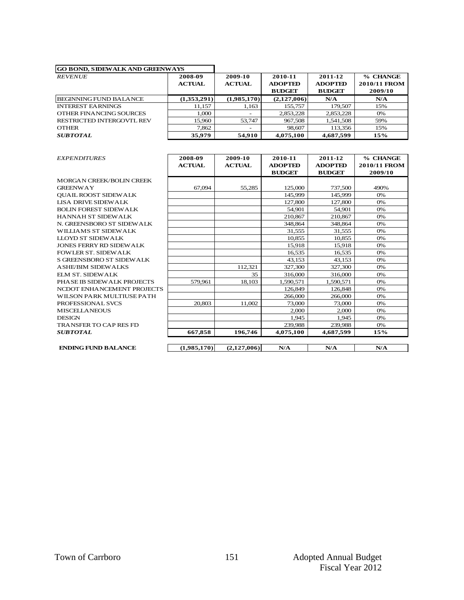| <b>GO BOND, SIDEWALK AND GREENWAYS</b> |                          |                          |                                            |                                            |                                            |
|----------------------------------------|--------------------------|--------------------------|--------------------------------------------|--------------------------------------------|--------------------------------------------|
| <b>REVENUE</b>                         | 2008-09<br><b>ACTUAL</b> | 2009-10<br><b>ACTUAL</b> | 2010-11<br><b>ADOPTED</b><br><b>BUDGET</b> | 2011-12<br><b>ADOPTED</b><br><b>BUDGET</b> | % CHANGE<br><b>2010/11 FROM</b><br>2009/10 |
| <b>BEGINNING FUND BALANCE</b>          | (1,353,291)              | (1,985,170)              | (2,127,006)                                | N/A                                        | N/A                                        |
| <b>INTEREST EARNINGS</b>               | 11.157                   | 1,163                    | 155,757                                    | 179.507                                    | 15%                                        |
| OTHER FINANCING SOURCES                | 1.000                    |                          | 2,853,228                                  | 2,853,228                                  | $0\%$                                      |
| RESTRICTED INTERGOVTL REV              | 15,960                   | 53,747                   | 967,508                                    | 1.541.508                                  | 59%                                        |
| <b>OTHER</b>                           | 7.862                    |                          | 98,607                                     | 113,356                                    | 15%                                        |
| <b>SUBTOTAL</b>                        | 35,979                   | 54,910                   | 4,075,100                                  | 4,687,599                                  | 15%                                        |
|                                        |                          |                          |                                            |                                            |                                            |
| <i><b>EXPENDITURES</b></i>             | 2008-09<br><b>ACTUAL</b> | 2009-10<br><b>ACTUAL</b> | 2010-11<br><b>ADOPTED</b>                  | 2011-12<br><b>ADOPTED</b>                  | % CHANGE<br><b>2010/11 FROM</b>            |

| <b>EXPENDITURES</b>             | 2008-09<br><b>ACTUAL</b> | 2009-10<br><b>ACTUAL</b> | 2010-11<br><b>ADOPTED</b> | 2011-12<br><b>ADOPTED</b> | % CHANGE<br>2010/11 FROM |
|---------------------------------|--------------------------|--------------------------|---------------------------|---------------------------|--------------------------|
|                                 |                          |                          | <b>BUDGET</b>             | <b>BUDGET</b>             | 2009/10                  |
| <b>MORGAN CREEK/BOLIN CREEK</b> |                          |                          |                           |                           |                          |
| <b>GREENWAY</b>                 | 67,094                   | 55,285                   | 125,000                   | 737,500                   | 490%                     |
| <b>OUAIL ROOST SIDEWALK</b>     |                          |                          | 145,999                   | 145,999                   | 0%                       |
| <b>LISA DRIVE SIDEW ALK</b>     |                          |                          | 127,800                   | 127,800                   | 0%                       |
| <b>BOLIN FOREST SIDEWALK</b>    |                          |                          | 54,901                    | 54,901                    | 0%                       |
| <b>HANNAH ST SIDEWALK</b>       |                          |                          | 210,867                   | 210,867                   | 0%                       |
| N. GREENSBORO ST SIDEWALK       |                          |                          | 348,864                   | 348,864                   | 0%                       |
| WILLIAMS ST SIDEWALK            |                          |                          | 31.555                    | 31.555                    | 0%                       |
| LLOYD ST SIDEW ALK              |                          |                          | 10,855                    | 10,855                    | 0%                       |
| JONES FERRY RD SIDEW ALK        |                          |                          | 15.918                    | 15.918                    | 0%                       |
| <b>FOWLER ST. SIDEWALK</b>      |                          |                          | 16,535                    | 16.535                    | 0%                       |
| S GREENSBORO ST SIDEWALK        |                          |                          | 43,153                    | 43,153                    | 0%                       |
| <b>ASHE/BIM SIDEWALKS</b>       |                          | 112.321                  | 327,300                   | 327,300                   | 0%                       |
| <b>ELM ST. SIDEWALK</b>         |                          | 35                       | 316,000                   | 316,000                   | 0%                       |
| PHASE IB SIDEWALK PROJECTS      | 579.961                  | 18.103                   | 1.590.571                 | 1.590.571                 | 0%                       |
| NCDOT ENHANCEMENT PROJECTS      |                          |                          | 126,849                   | 126,848                   | 0%                       |
| WILSON PARK MULTIUSE PATH       |                          |                          | 266,000                   | 266,000                   | 0%                       |
| PROFESSIONAL SVCS               | 20,803                   | 11.002                   | 73,000                    | 73,000                    | 0%                       |
| <b>MISCELLANEOUS</b>            |                          |                          | 2,000                     | 2.000                     | 0%                       |
| <b>DESIGN</b>                   |                          |                          | 1.945                     | 1.945                     | 0%                       |
| <b>TRANSFER TO CAP RES FD</b>   |                          |                          | 239,988                   | 239,988                   | 0%                       |
| <b>SUBTOTAL</b>                 | 667,858                  | 196,746                  | 4,075,100                 | 4,687,599                 | 15%                      |
|                                 |                          |                          |                           |                           |                          |
| <b>ENDING FUND BALANCE</b>      | (1,985,170)              | (2,127,006)              | N/A                       | N/A                       | N/A                      |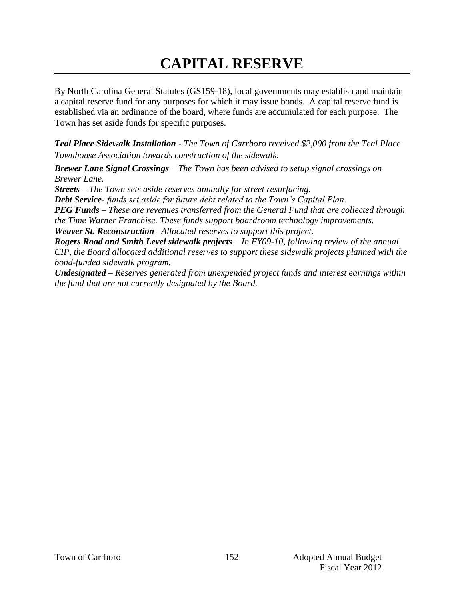# **CAPITAL RESERVE**

By North Carolina General Statutes (GS159-18), local governments may establish and maintain a capital reserve fund for any purposes for which it may issue bonds. A capital reserve fund is established via an ordinance of the board, where funds are accumulated for each purpose. The Town has set aside funds for specific purposes.

*Teal Place Sidewalk Installation - The Town of Carrboro received \$2,000 from the Teal Place Townhouse Association towards construction of the sidewalk.*

*Brewer Lane Signal Crossings – The Town has been advised to setup signal crossings on Brewer Lane.* 

*Streets – The Town sets aside reserves annually for street resurfacing.*

*Debt Service- funds set aside for future debt related to the Town's Capital Plan.* 

*PEG Funds – These are revenues transferred from the General Fund that are collected through the Time Warner Franchise. These funds support boardroom technology improvements.* 

*Weaver St. Reconstruction –Allocated reserves to support this project.*

*Rogers Road and Smith Level sidewalk projects – In FY09-10, following review of the annual CIP, the Board allocated additional reserves to support these sidewalk projects planned with the bond-funded sidewalk program.* 

*Undesignated – Reserves generated from unexpended project funds and interest earnings within the fund that are not currently designated by the Board.*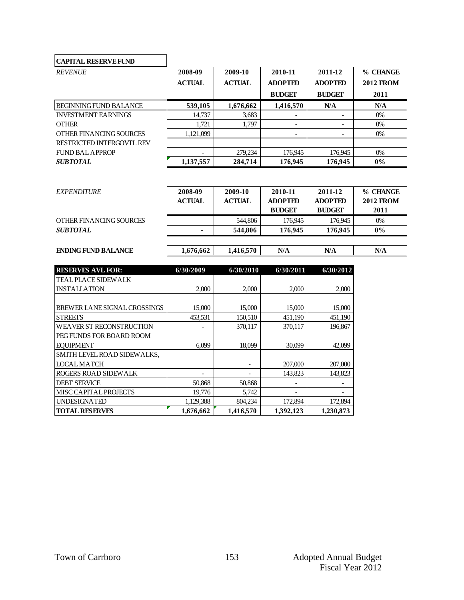| <b>CAPITAL RESERVE FUND</b>   |               |               |                |                |                  |
|-------------------------------|---------------|---------------|----------------|----------------|------------------|
| <b>REVENUE</b>                | 2008-09       | 2009-10       | 2010-11        | 2011-12        | % CHANGE         |
|                               | <b>ACTUAL</b> | <b>ACTUAL</b> | <b>ADOPTED</b> | <b>ADOPTED</b> | <b>2012 FROM</b> |
|                               |               |               | <b>BUDGET</b>  | <b>BUDGET</b>  | 2011             |
| <b>BEGINNING FUND BALANCE</b> | 539,105       | 1,676,662     | 1,416,570      | N/A            | N/A              |
| <b>INVESTMENT EARNINGS</b>    | 14.737        | 3,683         |                |                | $0\%$            |
| <b>OTHER</b>                  | 1.721         | 1.797         | ۰              | ٠              | $0\%$            |
| OTHER FINANCING SOURCES       | 1,121,099     |               |                | ۰              | $0\%$            |
| RESTRICTED INTERGOVTL REV     |               |               |                |                |                  |
| FUND BAL APPROP               | -             | 279,234       | 176,945        | 176,945        | $0\%$            |
| <b>SUBTOTAL</b>               | 1,137,557     | 284,714       | 176,945        | 176,945        | $0\%$            |

| <b>SUBTOTAL</b>           | 1,137,557     | 284,714       | 176,945        | 176,945        | $0\%$            |
|---------------------------|---------------|---------------|----------------|----------------|------------------|
|                           |               |               |                |                |                  |
| <i><b>EXPENDITURE</b></i> | 2008-09       | 2009-10       | 2010-11        | 2011-12        | % CHANGE         |
|                           | <b>ACTUAL</b> | <b>ACTUAL</b> | <b>ADOPTED</b> | <b>ADOPTED</b> | <b>2012 FROM</b> |
|                           |               |               | <b>BUDGET</b>  | <b>BUDGET</b>  | 2011             |
| OTHER FINANCING SOURCES   |               | 544.806       | 176.945        | 176,945        | $0\%$            |
| <b>SUBTOTAL</b>           |               | 544,806       | 176,945        | 176,945        | $0\%$            |
|                           |               |               |                |                |                  |

## **ENDING FUND BALANCE** 1,676,662 1,416,570 **N/A N/A N/A N/A**

| <b>RESERVES AVL FOR:</b>        | 6/30/2009 | 6/30/2010 | 6/30/2011 | 6/30/2012 |
|---------------------------------|-----------|-----------|-----------|-----------|
| <b>TEAL PLACE SIDEWALK</b>      |           |           |           |           |
| <b>INSTALLATION</b>             | 2,000     | 2,000     | 2,000     | 2,000     |
|                                 |           |           |           |           |
| BREWER LANE SIGNAL CROSSINGS    | 15,000    | 15,000    | 15,000    | 15,000    |
| <b>STREETS</b>                  | 453,531   | 150,510   | 451,190   | 451,190   |
| <b>WEAVER ST RECONSTRUCTION</b> |           | 370.117   | 370.117   | 196,867   |
| PEG FUNDS FOR BOARD ROOM        |           |           |           |           |
| <b>EOUIPMENT</b>                | 6,099     | 18,099    | 30,099    | 42,099    |
| SMITH LEVEL ROAD SIDEWALKS,     |           |           |           |           |
| <b>LOCAL MATCH</b>              |           |           | 207,000   | 207,000   |
| ROGERS ROAD SIDEWALK            |           |           | 143,823   | 143,823   |
| <b>DEBT SERVICE</b>             | 50,868    | 50,868    |           |           |
| <b>MISC CAPITAL PROJECTS</b>    | 19,776    | 5,742     |           |           |
| <b>UNDESIGNATED</b>             | 1,129,388 | 804,234   | 172,894   | 172,894   |
| <b>TOTAL RESERVES</b>           | 1,676,662 | 1,416,570 | 1,392,123 | 1,230,873 |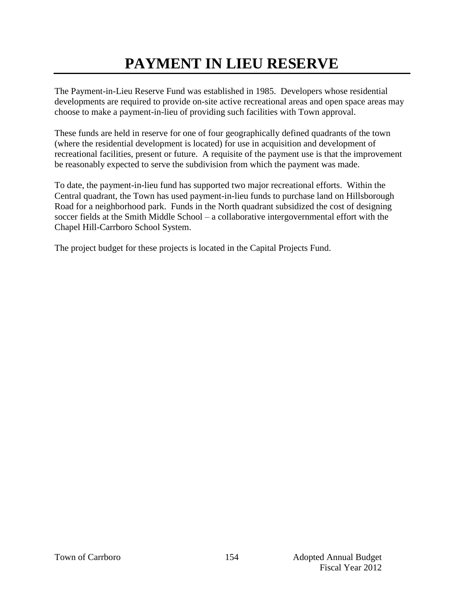# **PAYMENT IN LIEU RESERVE**

The Payment-in-Lieu Reserve Fund was established in 1985. Developers whose residential developments are required to provide on-site active recreational areas and open space areas may choose to make a payment-in-lieu of providing such facilities with Town approval.

These funds are held in reserve for one of four geographically defined quadrants of the town (where the residential development is located) for use in acquisition and development of recreational facilities, present or future. A requisite of the payment use is that the improvement be reasonably expected to serve the subdivision from which the payment was made.

To date, the payment-in-lieu fund has supported two major recreational efforts. Within the Central quadrant, the Town has used payment-in-lieu funds to purchase land on Hillsborough Road for a neighborhood park. Funds in the North quadrant subsidized the cost of designing soccer fields at the Smith Middle School – a collaborative intergovernmental effort with the Chapel Hill-Carrboro School System.

The project budget for these projects is located in the Capital Projects Fund.